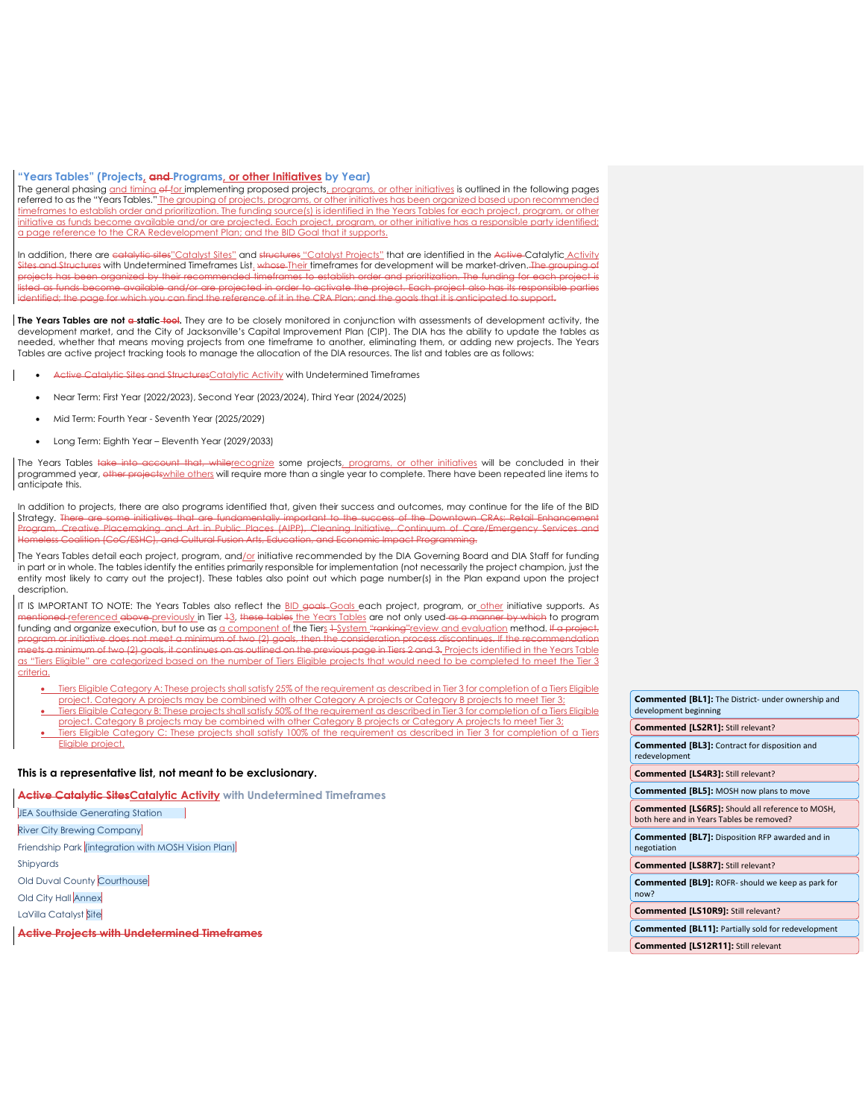#### **"Years Tables" (Projects, and Programs, or other Initiatives by Year)**

The general phasing and timing ef-for implementing proposed projects, programs, or other initiatives is outlined in the following pages referred to as the "Years Tables." The grouping of projects, programs, or other initiatives has been organized based upon recommended timeframes to establish order and prioritization. The funding source(s) is identified in the Years Tables for each project, program, or other initiative as funds become available and/or are projected. Each project, program, or other initiative has a responsible party identified; a page reference to the CRA Redevelopment Plan; and the BID Goal that it supports.

In addition, there are catalytic sites"Catalyst Sites" and structures "Catalyst Projects" that are identified in the Active Catalytic Activity Sites and Structures with Undetermined Timeframes List. whose Their timeframes for development will be market-driven. The grouping of<br>projects has been organized by their recommended timeframes to establish order and prior cts has been organized by their recommended timeframes to establish order and prioritization. The funding for ea listed as funds become available and/or are projected in order to activate the project. Each project also has its responsibl identified; the page for which you can find the reference of it in the CRA Plan; and the goals that it is anticipated to support.

**The Years Tables are not a static tool.** They are to be closely monitored in conjunction with assessments of development activity, the development market, and the City of Jacksonville's Capital Improvement Plan (CIP). The DIA has the ability to update the tables as needed, whether that means moving projects from one timeframe to another, eliminating them, or adding new projects. The Years Tables are active project tracking tools to manage the allocation of the DIA resources. The list and tables are as follows:

- Active Catalytic Sites and StructuresCatalytic Activity with Undetermined Timeframes
- Near Term: First Year (2022/2023), Second Year (2023/2024), Third Year (2024/2025)
- Mid Term: Fourth Year Seventh Year (2025/2029)
- Long Term: Eighth Year Eleventh Year (2029/2033)

The Years Tables take into account that, whilerecognize some projects, programs, or other initiatives will be concluded in their programmed year, other projects while others will require more than a single year to complete. There have been repeated line items to anticipate this.

In addition to projects, there are also programs identified that, given their success and outcomes, may continue for the life of the BID Strategy. T<del>here are some initiatives that are fundamentally important to the success of the Downtown CRAs: Retail Enhancement<br>Program, Creative Placemaking and Art in Public Places (AIPP), Cleaning Initiative, Continuum o</del> and Cultural Fusion Arts, Edu

The Years Tables detail each project, program, and/or initiative recommended by the DIA Governing Board and DIA Staff for funding in part or in whole. The tables identify the entities primarily responsible for implementation (not necessarily the project champion, just the entity most likely to carry out the project). These tables also point out which page number(s) in the Plan expand upon the project description.

IT IS IMPORTANT TO NOTE: The Years Tables also reflect the BID goals-Goals each project, program, or other initiative supports. As <del>mentioned <u>referenced above previously</u> in Tier 13, these tables <u>the Years Tables</u> are not only used-a<del>s a manner by which</del> to program<br>funding and organize execution, but to use as <u>a component of t</u>he Tier<u>s 1-System "<del></del></u></del> program or initiative does not meet a minimum of two (2) goals, then the consideration process discontinues. If the recommendation<br>meets a minimum of two (2) goals, it continues on as outlined on the previous page in Tiers d on the previous page in Tiers 2 and 3. Projects identified in the Years Table as "Tiers Eligible" are categorized based on the number of Tiers Eligible projects that would need to be completed to meet the Tier 3 criteria.

• Tiers Eligible Category A: These projects shall satisfy 25% of the requirement as described in Tier 3 for completion of a Tiers Eligible project. Category A projects may be combined with other Category A projects or Category B projects to meet Tier 3; • Tiers Eligible Category B: These projects shall satisfy 50% of the requirement as described in Tier 3 for completion of a Tiers Eligible

project. Category B projects may be combined with other Category B projects or Category A projects to meet Tier 3; • Tiers Eligible Category C: These projects shall satisfy 100% of the requirement as described in Tier 3 for completion of a Tiers Eligible project.

#### **This is a representative list, not meant to be exclusionary.**

**Active Catalytic SitesCatalytic Activity with Undetermined Timeframes** 

JEA Southside Generating Station

River City Brewing Company

Friendship Park (integration with MOSH Vision Plan)

Shipyards

Old Duval County Courthouse

Old City Hall Annex

LaVilla Catalyst Site

**Active Projects with Undetermined Timeframes**

| <b>Commented [BL1]:</b> The District- under ownership and<br>development beginning            |
|-----------------------------------------------------------------------------------------------|
| Commented [LS2R1]: Still relevant?                                                            |
| <b>Commented [BL3]:</b> Contract for disposition and<br>redevelopment                         |
| Commented [LS4R3]: Still relevant?                                                            |
| <b>Commented [BL5]: MOSH now plans to move</b>                                                |
| Commented [LS6R5]: Should all reference to MOSH,<br>both here and in Years Tables be removed? |
| <b>Commented [BL7]:</b> Disposition RFP awarded and in<br>negotiation                         |
| Commented [LS8R7]: Still relevant?                                                            |
| <b>Commented [BL9]: ROFR- should we keep as park for</b><br>now?                              |
| <b>Commented [LS10R9]: Still relevant?</b>                                                    |
| <b>Commented [BL11]: Partially sold for redevelopment</b>                                     |

**Commented [LS12R11]:** Still relevant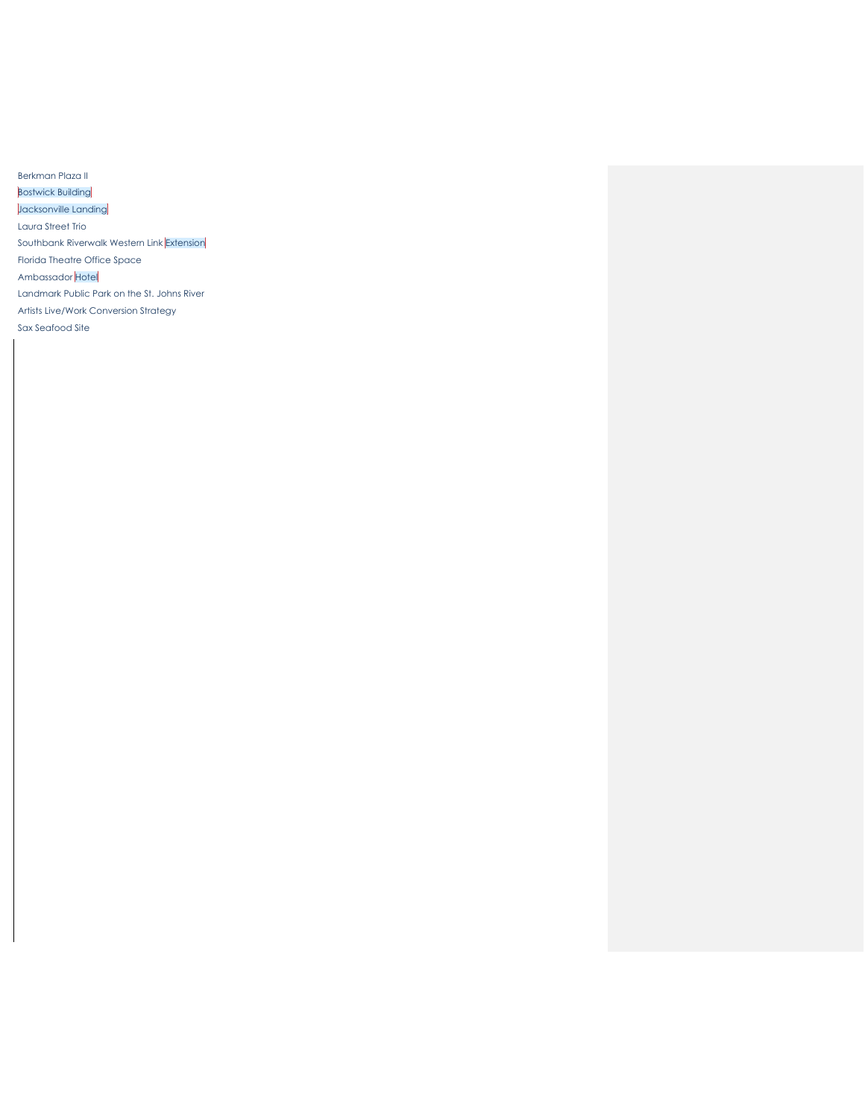Berkman Plaza II **Bostwick Building** Jacksonville Landing Laura Street Trio Southbank Riverwalk Western Link Extension Florida Theatre Office Space Ambassador Hotel Landmark Public Park on the St. Johns River Artists Live/Work Conversion Strategy Sax Seafood Site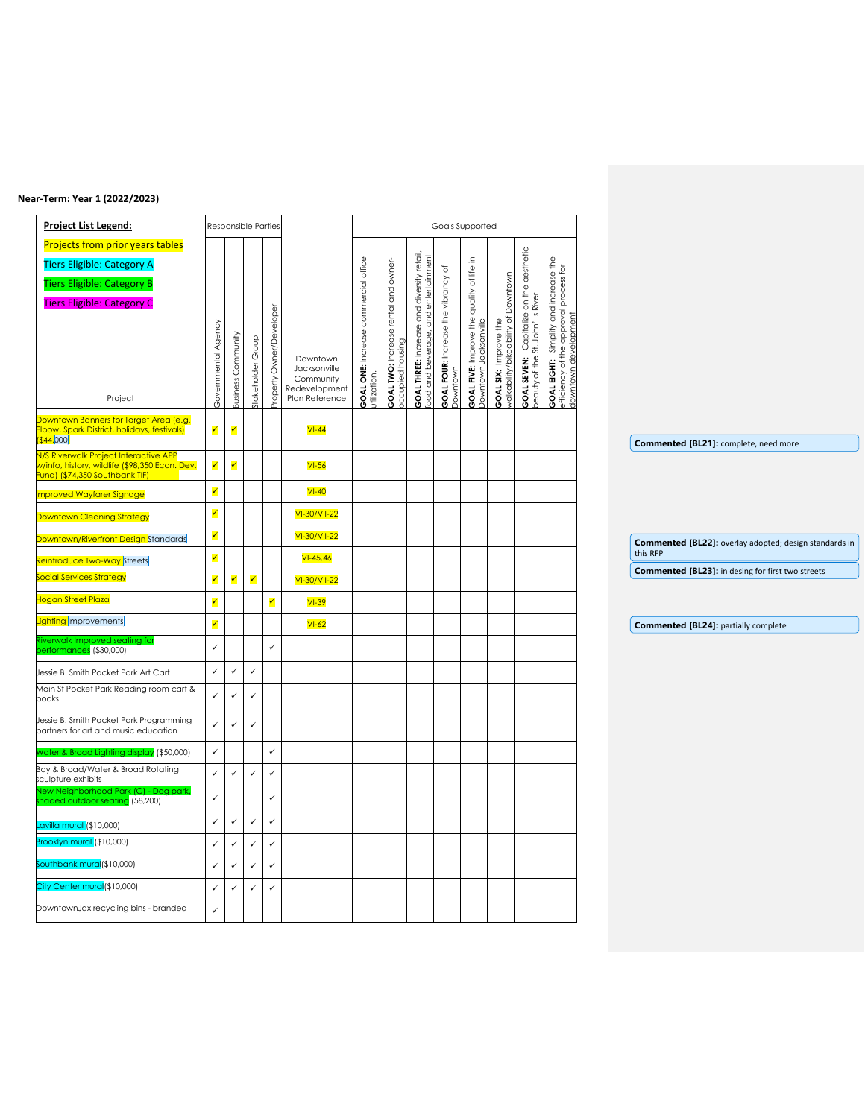#### **Near-Term: Year 1 (2022/2023)**

| <b>Project List Legend:</b>                                                     |                      |                           | Responsible Parties |                      |                                 |                                                             |                                               |                                                                                           | Goals Supported                         |                                                                        |                                                            |                              |                                                                                                                |                                                          |
|---------------------------------------------------------------------------------|----------------------|---------------------------|---------------------|----------------------|---------------------------------|-------------------------------------------------------------|-----------------------------------------------|-------------------------------------------------------------------------------------------|-----------------------------------------|------------------------------------------------------------------------|------------------------------------------------------------|------------------------------|----------------------------------------------------------------------------------------------------------------|----------------------------------------------------------|
| <b>Projects from prior years tables</b>                                         |                      |                           |                     |                      |                                 |                                                             |                                               |                                                                                           |                                         |                                                                        |                                                            |                              |                                                                                                                |                                                          |
| <b>Tiers Eligible: Category A</b>                                               |                      |                           |                     |                      |                                 |                                                             |                                               |                                                                                           | ৳                                       | 그.                                                                     |                                                            |                              |                                                                                                                |                                                          |
| <b>Tiers Eligible: Category B</b>                                               |                      |                           |                     |                      |                                 |                                                             |                                               |                                                                                           |                                         |                                                                        |                                                            | on the aesthetic             |                                                                                                                |                                                          |
| <b>Tiers Eligible: Category C</b>                                               |                      |                           |                     |                      |                                 | <b>GOAL ONE:</b> Increase commercial office<br>utilization. | rental and owner                              | <b>GOAL THREE:</b> Increase and diversify retail,<br>food and beverage, and entertainment | <b>GOAL FOUR:</b> Increase the vibrancy | <b>GOAL FIVE:</b> Improve the quality of life<br>Downtown Jacksonville | Downtown                                                   | River                        | <b>GOAL EIGHT:</b> Simplify and increase the<br>efficiency of the approval process for<br>downtown development |                                                          |
|                                                                                 |                      |                           |                     | Owner/Developer      |                                 |                                                             |                                               |                                                                                           |                                         |                                                                        |                                                            | Capitalize<br>9 St. John's R |                                                                                                                |                                                          |
|                                                                                 |                      |                           | Group               |                      |                                 |                                                             |                                               |                                                                                           |                                         |                                                                        |                                                            |                              |                                                                                                                |                                                          |
|                                                                                 |                      |                           |                     |                      | Downtown                        |                                                             |                                               |                                                                                           |                                         |                                                                        |                                                            |                              |                                                                                                                |                                                          |
|                                                                                 |                      |                           | takeholder          |                      | Jacksonville<br>Community       |                                                             |                                               |                                                                                           |                                         |                                                                        |                                                            |                              |                                                                                                                |                                                          |
| Project                                                                         | Governmental Agency  | <b>Business Community</b> |                     | Property             | Redevelopment<br>Plan Reference |                                                             | <b>GOAL TWO:</b> Increase<br>occupied housing |                                                                                           | Downtown                                |                                                                        | <b>GOAL SIX:</b> Improve the<br>walkability/bikeability of | GOAL SEVEN:<br>beauty of the |                                                                                                                |                                                          |
| Downtown Banners for Target Area (e.g.                                          |                      |                           |                     |                      |                                 |                                                             |                                               |                                                                                           |                                         |                                                                        |                                                            |                              |                                                                                                                |                                                          |
| Elbow, Spark District, holidays, festivals)<br><b>\$44,000)</b>                 | $\blacktriangledown$ | $\blacktriangledown$      |                     |                      | $VI-44$                         |                                                             |                                               |                                                                                           |                                         |                                                                        |                                                            |                              |                                                                                                                |                                                          |
| N/S Riverwalk Project Interactive APP                                           |                      |                           |                     |                      |                                 |                                                             |                                               |                                                                                           |                                         |                                                                        |                                                            |                              |                                                                                                                | Commented [BL21]: complete, need more                    |
| w/info, history, wildlife (\$98,350 Econ. Dev.<br>und) (\$74,350 Southbank TIF) | ✓                    | ✓                         |                     |                      | $VI-56$                         |                                                             |                                               |                                                                                           |                                         |                                                                        |                                                            |                              |                                                                                                                |                                                          |
| mproved Wayfarer Signage                                                        | $\blacktriangledown$ |                           |                     |                      | $VI-40$                         |                                                             |                                               |                                                                                           |                                         |                                                                        |                                                            |                              |                                                                                                                |                                                          |
| Downtown Cleaning Strategy                                                      | ✔                    |                           |                     |                      | VI-30/VII-22                    |                                                             |                                               |                                                                                           |                                         |                                                                        |                                                            |                              |                                                                                                                |                                                          |
| Downtown/Riverfront Design Standards                                            | $\blacktriangledown$ |                           |                     |                      | VI-30/VII-22                    |                                                             |                                               |                                                                                           |                                         |                                                                        |                                                            |                              |                                                                                                                | Commented [BL22]: overlay adopted; design standards in   |
| <mark>Reintroduce Two-Way</mark> Streets                                        | $\blacktriangledown$ |                           |                     |                      | $VI - 45,46$                    |                                                             |                                               |                                                                                           |                                         |                                                                        |                                                            |                              |                                                                                                                | this RFP                                                 |
| ocial Services Strategy                                                         | ✓                    | ✓                         | ✔                   |                      | VI-30/VII-22                    |                                                             |                                               |                                                                                           |                                         |                                                                        |                                                            |                              |                                                                                                                | <b>Commented [BL23]:</b> in desing for first two streets |
| logan Street Plaza                                                              | ✓                    |                           |                     | $\blacktriangledown$ | $VI-39$                         |                                                             |                                               |                                                                                           |                                         |                                                                        |                                                            |                              |                                                                                                                |                                                          |
| ighting Improvements                                                            |                      |                           |                     |                      | $VI-62$                         |                                                             |                                               |                                                                                           |                                         |                                                                        |                                                            |                              |                                                                                                                | <b>Commented [BL24]: partially complete</b>              |
| iverwalk Improved seating for<br>erformances (\$30,000)                         | ✓                    |                           |                     | $\checkmark$         |                                 |                                                             |                                               |                                                                                           |                                         |                                                                        |                                                            |                              |                                                                                                                |                                                          |
| Jessie B. Smith Pocket Park Art Cart                                            | ✓                    | $\checkmark$              | $\checkmark$        |                      |                                 |                                                             |                                               |                                                                                           |                                         |                                                                        |                                                            |                              |                                                                                                                |                                                          |
| Main St Pocket Park Reading room cart &<br>books                                | $\checkmark$         | $\checkmark$              | $\checkmark$        |                      |                                 |                                                             |                                               |                                                                                           |                                         |                                                                        |                                                            |                              |                                                                                                                |                                                          |
| Jessie B. Smith Pocket Park Programming<br>partners for art and music education | $\checkmark$         | $\checkmark$              | $\checkmark$        |                      |                                 |                                                             |                                               |                                                                                           |                                         |                                                                        |                                                            |                              |                                                                                                                |                                                          |
|                                                                                 | $\checkmark$         |                           |                     | $\checkmark$         |                                 |                                                             |                                               |                                                                                           |                                         |                                                                        |                                                            |                              |                                                                                                                |                                                          |
| Vater & Broad Lighting display (\$50,000)<br>Bay & Broad/Water & Broad Rotating |                      |                           |                     |                      |                                 |                                                             |                                               |                                                                                           |                                         |                                                                        |                                                            |                              |                                                                                                                |                                                          |
| sculpture exhibits                                                              | $\checkmark$         | $\checkmark$              | $\checkmark$        | $\checkmark$         |                                 |                                                             |                                               |                                                                                           |                                         |                                                                        |                                                            |                              |                                                                                                                |                                                          |
| New Neighborhood Park (C) - Dog park,<br>haded outdoor seating (58,200)         | $\checkmark$         |                           |                     | $\checkmark$         |                                 |                                                             |                                               |                                                                                           |                                         |                                                                        |                                                            |                              |                                                                                                                |                                                          |
| Lavilla mural (\$10,000)                                                        | ✓                    | $\checkmark$              | $\checkmark$        | $\checkmark$         |                                 |                                                             |                                               |                                                                                           |                                         |                                                                        |                                                            |                              |                                                                                                                |                                                          |
| Brooklyn mural (\$10,000)                                                       | $\checkmark$         | $\checkmark$              | $\checkmark$        | $\checkmark$         |                                 |                                                             |                                               |                                                                                           |                                         |                                                                        |                                                            |                              |                                                                                                                |                                                          |
| Southbank mural(\$10,000)                                                       | ✓                    | $\checkmark$              | $\checkmark$        | $\checkmark$         |                                 |                                                             |                                               |                                                                                           |                                         |                                                                        |                                                            |                              |                                                                                                                |                                                          |
| City Center mural(\$10,000)                                                     | $\checkmark$         | $\checkmark$              | $\checkmark$        | $\checkmark$         |                                 |                                                             |                                               |                                                                                           |                                         |                                                                        |                                                            |                              |                                                                                                                |                                                          |
| DowntownJax recycling bins - branded                                            | $\checkmark$         |                           |                     |                      |                                 |                                                             |                                               |                                                                                           |                                         |                                                                        |                                                            |                              |                                                                                                                |                                                          |
|                                                                                 |                      |                           |                     |                      |                                 |                                                             |                                               |                                                                                           |                                         |                                                                        |                                                            |                              |                                                                                                                |                                                          |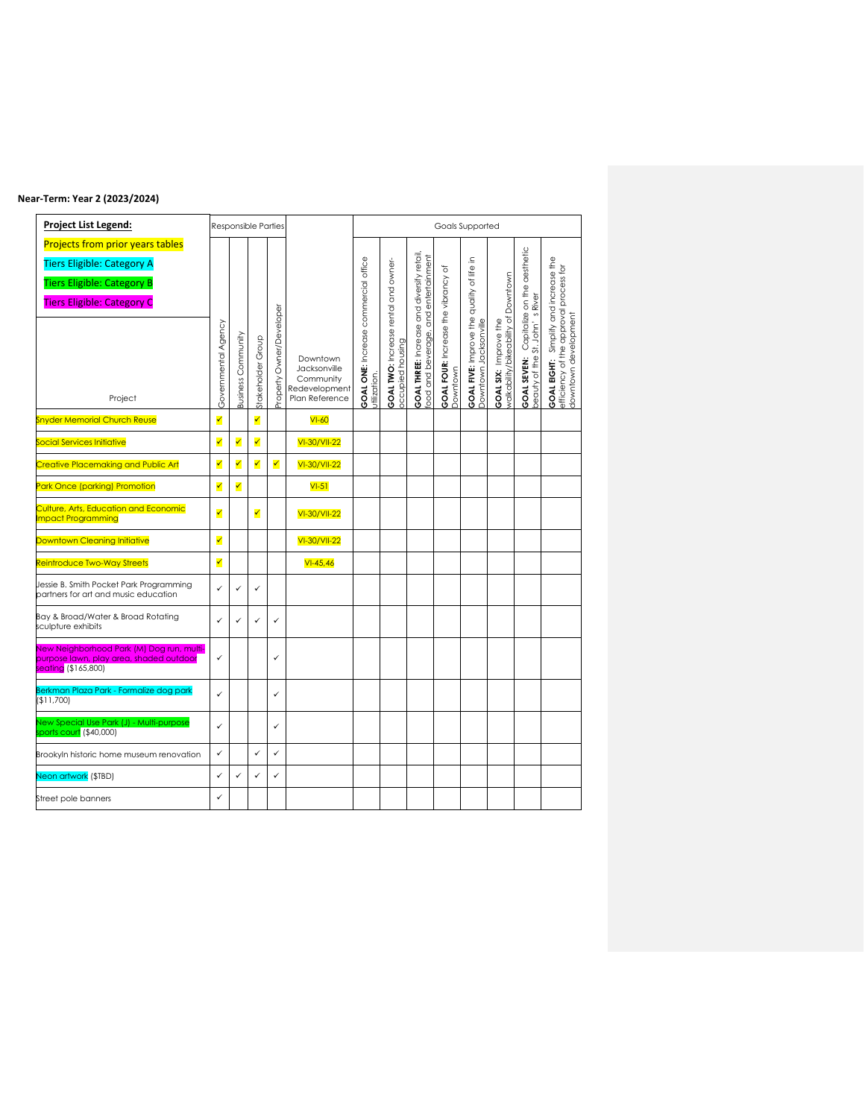#### **Near-Term: Year 2 (2023/2024)**

| Project List Legend:                                                                                                                                   |                      |                    | <b>Responsible Parties</b> |                         |                                                                          |                                                             |                                                         |                                                                        |                                                     | Goals Supported                                                        |                                                              |                                                  |                                                                               |
|--------------------------------------------------------------------------------------------------------------------------------------------------------|----------------------|--------------------|----------------------------|-------------------------|--------------------------------------------------------------------------|-------------------------------------------------------------|---------------------------------------------------------|------------------------------------------------------------------------|-----------------------------------------------------|------------------------------------------------------------------------|--------------------------------------------------------------|--------------------------------------------------|-------------------------------------------------------------------------------|
| <b>Projects from prior years tables</b><br><b>Tiers Eligible: Category A</b><br><b>Tiers Eligible: Category B</b><br><b>Tiers Eligible: Category C</b> |                      |                    |                            |                         |                                                                          |                                                             |                                                         | and entertainment                                                      | ৳                                                   | Ξ.                                                                     |                                                              | Capitalize on the aesthetic                      | Simplify and increase the                                                     |
| Project                                                                                                                                                | Governmental Agency  | Business Community | Stakeholder Group          | roperty Owner/Developer | Downtown<br>Jacksonville<br>Community<br>Redevelopment<br>Plan Reference | <b>GOAL ONE:</b> Increase commercial office<br>utilization. | GOAL TWO: Increase rental and owner-<br>perizud housing | <b>GOAL THREE:</b> Increase and diversify retail<br>food and beverage, | <b>GOAL FOUR:</b> Increase the vibrancy<br>Downtown | <b>GOAL FIVE:</b> Improve the quality of life<br>Downtown Jacksonville | walkability/bikeability of Downtown<br>GOAL SIX: Improve the | St. John's River<br>beauty of the<br>GOAL SEVEN: | efficiency of the approval process for<br>downtown development<br>GOAL EIGHT: |
| <b>Snyder Memorial Church Reuse</b>                                                                                                                    | ✓                    |                    | $\overline{\checkmark}$    |                         | $VI-60$                                                                  |                                                             |                                                         |                                                                        |                                                     |                                                                        |                                                              |                                                  |                                                                               |
| Social Services Initiative                                                                                                                             | ✓                    | ✓                  | $\checkmark$               |                         | VI-30/VII-22                                                             |                                                             |                                                         |                                                                        |                                                     |                                                                        |                                                              |                                                  |                                                                               |
| <b>Creative Placemaking and Public Art</b>                                                                                                             | ✓                    | ✓                  | $\overline{\checkmark}$    | ✓                       | VI-30/VII-22                                                             |                                                             |                                                         |                                                                        |                                                     |                                                                        |                                                              |                                                  |                                                                               |
| Park Once (parking) Promotion                                                                                                                          | ✓                    | ✓                  |                            |                         | $VI-51$                                                                  |                                                             |                                                         |                                                                        |                                                     |                                                                        |                                                              |                                                  |                                                                               |
| <b>Culture, Arts, Education and Economic</b><br><b>Impact Programming</b>                                                                              | $\blacktriangledown$ |                    | ✓                          |                         | VI-30/VII-22                                                             |                                                             |                                                         |                                                                        |                                                     |                                                                        |                                                              |                                                  |                                                                               |
| <b>Downtown Cleaning Initiative</b>                                                                                                                    | ✓                    |                    |                            |                         | VI-30/VII-22                                                             |                                                             |                                                         |                                                                        |                                                     |                                                                        |                                                              |                                                  |                                                                               |
| Reintroduce Two-Way Streets                                                                                                                            | ✓                    |                    |                            |                         | $VI - 45,46$                                                             |                                                             |                                                         |                                                                        |                                                     |                                                                        |                                                              |                                                  |                                                                               |
| Jessie B. Smith Pocket Park Programming<br>partners for art and music education                                                                        | $\checkmark$         | ✓                  | $\checkmark$               |                         |                                                                          |                                                             |                                                         |                                                                        |                                                     |                                                                        |                                                              |                                                  |                                                                               |
| Bay & Broad/Water & Broad Rotating<br>sculpture exhibits                                                                                               | ✓                    | $\checkmark$       | $\checkmark$               | $\checkmark$            |                                                                          |                                                             |                                                         |                                                                        |                                                     |                                                                        |                                                              |                                                  |                                                                               |
| New Neighborhood Park (M) Dog run, multi-<br>purpose lawn, play area, shaded outdoor<br>seating (\$165,800)                                            | ✓                    |                    |                            | ✓                       |                                                                          |                                                             |                                                         |                                                                        |                                                     |                                                                        |                                                              |                                                  |                                                                               |
| Berkman Plaza Park - Formalize dog park<br>(\$11,700)                                                                                                  | $\checkmark$         |                    |                            | ✓                       |                                                                          |                                                             |                                                         |                                                                        |                                                     |                                                                        |                                                              |                                                  |                                                                               |
| New Special Use Park (J) - Multi-purpose<br>sports court (\$40,000)                                                                                    | $\checkmark$         |                    |                            | ✓                       |                                                                          |                                                             |                                                         |                                                                        |                                                     |                                                                        |                                                              |                                                  |                                                                               |
| Brookyln historic home museum renovation                                                                                                               | $\checkmark$         |                    | ✓                          | ✓                       |                                                                          |                                                             |                                                         |                                                                        |                                                     |                                                                        |                                                              |                                                  |                                                                               |
| Neon artwork (\$TBD)                                                                                                                                   | $\checkmark$         | ✓                  | $\checkmark$               | ✓                       |                                                                          |                                                             |                                                         |                                                                        |                                                     |                                                                        |                                                              |                                                  |                                                                               |
| Street pole banners                                                                                                                                    | ✓                    |                    |                            |                         |                                                                          |                                                             |                                                         |                                                                        |                                                     |                                                                        |                                                              |                                                  |                                                                               |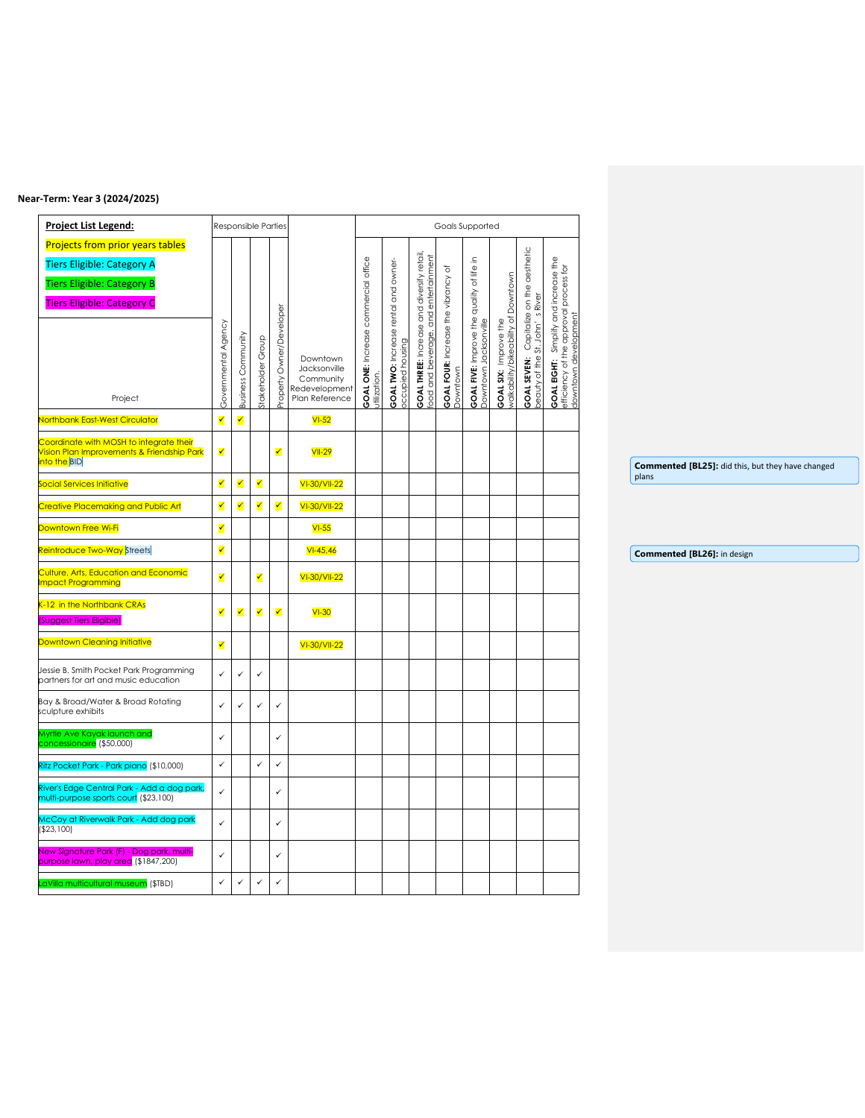#### **Near-Term: Year 3 (2024/2025)**

| Project List Legend:                                                                  |                      |                      | Responsible Parties  |                      |                                 |                                                      |                                                                 |                                                                                           |                                                     | Goals Supported                                                           |                                                                     |                                                 |                                                                                                                |  |                                                            |  |  |  |  |
|---------------------------------------------------------------------------------------|----------------------|----------------------|----------------------|----------------------|---------------------------------|------------------------------------------------------|-----------------------------------------------------------------|-------------------------------------------------------------------------------------------|-----------------------------------------------------|---------------------------------------------------------------------------|---------------------------------------------------------------------|-------------------------------------------------|----------------------------------------------------------------------------------------------------------------|--|------------------------------------------------------------|--|--|--|--|
| Projects from prior years tables                                                      |                      |                      |                      |                      |                                 |                                                      |                                                                 |                                                                                           |                                                     |                                                                           |                                                                     |                                                 |                                                                                                                |  |                                                            |  |  |  |  |
| <b>Tiers Eligible: Category A</b>                                                     |                      |                      |                      |                      |                                 |                                                      |                                                                 |                                                                                           | đ                                                   |                                                                           |                                                                     |                                                 |                                                                                                                |  |                                                            |  |  |  |  |
| <b>Tiers Eligible: Category B</b>                                                     |                      |                      |                      |                      |                                 |                                                      |                                                                 |                                                                                           |                                                     |                                                                           |                                                                     |                                                 |                                                                                                                |  |                                                            |  |  |  |  |
| <b>Tiers Eligible: Category C</b>                                                     |                      |                      |                      |                      |                                 |                                                      |                                                                 |                                                                                           |                                                     |                                                                           |                                                                     |                                                 |                                                                                                                |  |                                                            |  |  |  |  |
|                                                                                       |                      |                      |                      |                      |                                 |                                                      |                                                                 |                                                                                           |                                                     |                                                                           |                                                                     |                                                 |                                                                                                                |  |                                                            |  |  |  |  |
|                                                                                       | Governmental Agency  |                      |                      | Owner/Developer      |                                 | GOAL ONE: Increase commercial office<br>utilization. | <b>GOAL TWO:</b> Increase rental and owner-<br>occupied housing | <b>GOAL THREE:</b> Increase and diversify retail,<br>food and beverage, and entertainment | <b>GOAL FOUR:</b> Increase the vibrancy<br>Downtown | <b>GOAL FIVE:</b> Improve the quality of life in<br>Downtown Jacksonville | <b>GOAL SIX:</b> Improve the<br>walkability/bikeability of Downtown | Capitalize on the aesthetic<br>St. John's River | <b>GOAL EIGHT:</b> Simplify and increase the<br>efficiency of the approval process for<br>downtown development |  |                                                            |  |  |  |  |
|                                                                                       |                      |                      |                      |                      | Downtown                        |                                                      |                                                                 |                                                                                           |                                                     |                                                                           |                                                                     |                                                 |                                                                                                                |  |                                                            |  |  |  |  |
|                                                                                       |                      |                      |                      |                      | Jacksonville<br>Community       |                                                      |                                                                 |                                                                                           |                                                     |                                                                           |                                                                     |                                                 |                                                                                                                |  |                                                            |  |  |  |  |
| Project                                                                               |                      | Business Community   | Stakeholder Group    | Property             | Redevelopment<br>Plan Reference |                                                      |                                                                 |                                                                                           |                                                     |                                                                           |                                                                     | <b>GOAL SEVEN:</b><br>beauty of the S           |                                                                                                                |  |                                                            |  |  |  |  |
| <b>Jorthbank East-West Circulator</b>                                                 | $\blacktriangledown$ | $\blacktriangledown$ |                      |                      | $VI-52$                         |                                                      |                                                                 |                                                                                           |                                                     |                                                                           |                                                                     |                                                 |                                                                                                                |  |                                                            |  |  |  |  |
|                                                                                       |                      |                      |                      |                      |                                 |                                                      |                                                                 |                                                                                           |                                                     |                                                                           |                                                                     |                                                 |                                                                                                                |  |                                                            |  |  |  |  |
| Coordinate with MOSH to integrate their<br>Vision Plan Improvements & Friendship Park | $\blacktriangledown$ |                      |                      | $\blacktriangledown$ | <b>VII-29</b>                   |                                                      |                                                                 |                                                                                           |                                                     |                                                                           |                                                                     |                                                 |                                                                                                                |  |                                                            |  |  |  |  |
| nto the BID                                                                           |                      |                      |                      |                      |                                 |                                                      |                                                                 |                                                                                           |                                                     |                                                                           |                                                                     |                                                 |                                                                                                                |  | Commented [BL25]: did this, but they have changed<br>plans |  |  |  |  |
| Social Services Initiative                                                            | $\checkmark$         | ✔                    | ✔                    |                      | VI-30/VII-22                    |                                                      |                                                                 |                                                                                           |                                                     |                                                                           |                                                                     |                                                 |                                                                                                                |  |                                                            |  |  |  |  |
| Creative Placemaking and Public Art                                                   | $\blacktriangledown$ | $\blacktriangledown$ | $\blacktriangledown$ | $\blacktriangledown$ | VI-30/VII-22                    |                                                      |                                                                 |                                                                                           |                                                     |                                                                           |                                                                     |                                                 |                                                                                                                |  |                                                            |  |  |  |  |
| Downtown Free Wi-Fi                                                                   | ✔                    |                      |                      |                      | $VI-55$                         |                                                      |                                                                 |                                                                                           |                                                     |                                                                           |                                                                     |                                                 |                                                                                                                |  |                                                            |  |  |  |  |
| eintroduce Two-Way Streets                                                            | ✓                    |                      |                      |                      | $VI - 45,46$                    |                                                      |                                                                 |                                                                                           |                                                     |                                                                           |                                                                     |                                                 |                                                                                                                |  | Commented [BL26]: in design                                |  |  |  |  |
| Culture, Arts, Education and Economic<br>mpact Programming                            | $\blacktriangledown$ |                      | ✓                    |                      | VI-30/VII-22                    |                                                      |                                                                 |                                                                                           |                                                     |                                                                           |                                                                     |                                                 |                                                                                                                |  |                                                            |  |  |  |  |
| -12 in the Northbank CRAs<br>(Suggest Tiers Eligible)                                 | ✔                    | ✓                    | ✓                    | $\blacktriangledown$ | $VI-30$                         |                                                      |                                                                 |                                                                                           |                                                     |                                                                           |                                                                     |                                                 |                                                                                                                |  |                                                            |  |  |  |  |
| Downtown Cleaning Initiative                                                          |                      |                      |                      |                      |                                 |                                                      |                                                                 |                                                                                           |                                                     |                                                                           |                                                                     |                                                 |                                                                                                                |  |                                                            |  |  |  |  |
|                                                                                       | $\blacktriangledown$ |                      |                      |                      | VI-30/VII-22                    |                                                      |                                                                 |                                                                                           |                                                     |                                                                           |                                                                     |                                                 |                                                                                                                |  |                                                            |  |  |  |  |
| Jessie B. Smith Pocket Park Programming<br>partners for art and music education       | $\checkmark$         | $\checkmark$         | $\checkmark$         |                      |                                 |                                                      |                                                                 |                                                                                           |                                                     |                                                                           |                                                                     |                                                 |                                                                                                                |  |                                                            |  |  |  |  |
| Bay & Broad/Water & Broad Rotating<br>sculpture exhibits                              | $\checkmark$         | $\checkmark$         | $\checkmark$         | $\checkmark$         |                                 |                                                      |                                                                 |                                                                                           |                                                     |                                                                           |                                                                     |                                                 |                                                                                                                |  |                                                            |  |  |  |  |
| Myrtle Ave Kayak launch and<br>concessionaire (\$50,000)                              | $\checkmark$         |                      |                      | $\checkmark$         |                                 |                                                      |                                                                 |                                                                                           |                                                     |                                                                           |                                                                     |                                                 |                                                                                                                |  |                                                            |  |  |  |  |
| Ritz Pocket Park - Park piano (\$10,000)                                              | $\checkmark$         |                      | $\checkmark$         | $\checkmark$         |                                 |                                                      |                                                                 |                                                                                           |                                                     |                                                                           |                                                                     |                                                 |                                                                                                                |  |                                                            |  |  |  |  |
| River's Edge Central Park - Add a dog park,<br>multi-purpose sports court (\$23,100)  | $\checkmark$         |                      |                      | $\checkmark$         |                                 |                                                      |                                                                 |                                                                                           |                                                     |                                                                           |                                                                     |                                                 |                                                                                                                |  |                                                            |  |  |  |  |
| McCoy at Riverwalk Park - Add dog park<br>(\$23,100)                                  | $\checkmark$         |                      |                      | $\checkmark$         |                                 |                                                      |                                                                 |                                                                                           |                                                     |                                                                           |                                                                     |                                                 |                                                                                                                |  |                                                            |  |  |  |  |
| New Signature Park (F) - Dog park, multi-<br>purpose lawn, play area (\$1847,200)     | $\checkmark$         |                      |                      | $\checkmark$         |                                 |                                                      |                                                                 |                                                                                           |                                                     |                                                                           |                                                                     |                                                 |                                                                                                                |  |                                                            |  |  |  |  |
| .aVilla multicultural museum (\$TBD)                                                  | $\checkmark$         | $\checkmark$         | $\checkmark$         | $\checkmark$         |                                 |                                                      |                                                                 |                                                                                           |                                                     |                                                                           |                                                                     |                                                 |                                                                                                                |  |                                                            |  |  |  |  |
|                                                                                       |                      |                      |                      |                      |                                 |                                                      |                                                                 |                                                                                           |                                                     |                                                                           |                                                                     |                                                 |                                                                                                                |  |                                                            |  |  |  |  |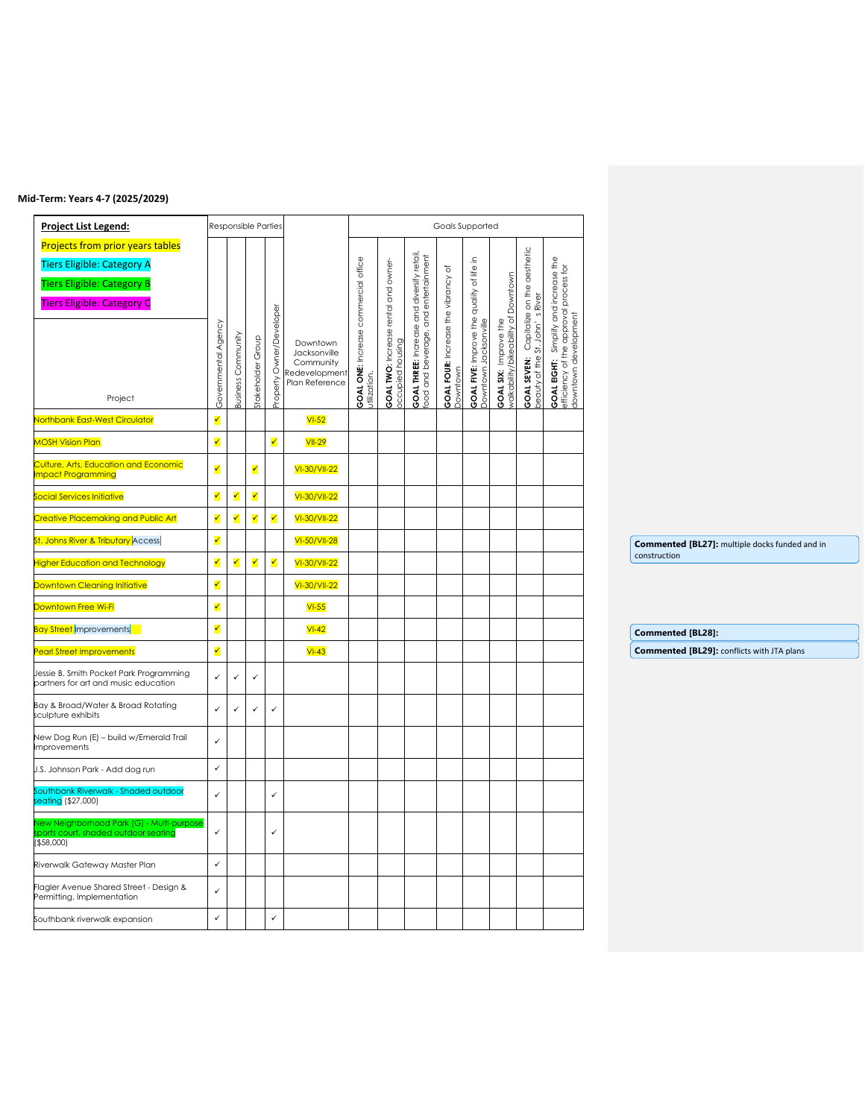## **Mid-Term: Years 4-7 (2025/2029)**

| <b>Project List Legend:</b>                                                                            |                         |                           |                         | Responsible Parties   |                                              |                                 |                                                                 |                                                                                          | Goals Supported              |                                                                        |                                                            |                                                 |                                                                                                         |  |                                                   |  |
|--------------------------------------------------------------------------------------------------------|-------------------------|---------------------------|-------------------------|-----------------------|----------------------------------------------|---------------------------------|-----------------------------------------------------------------|------------------------------------------------------------------------------------------|------------------------------|------------------------------------------------------------------------|------------------------------------------------------------|-------------------------------------------------|---------------------------------------------------------------------------------------------------------|--|---------------------------------------------------|--|
| <b>Projects from prior years tables</b>                                                                |                         |                           |                         |                       |                                              |                                 |                                                                 |                                                                                          |                              |                                                                        |                                                            |                                                 |                                                                                                         |  |                                                   |  |
| <b>Tiers Eligible: Category A</b>                                                                      |                         |                           |                         |                       |                                              | ONE: Increase commercial office | <b>GOAL TWO:</b> Increase rental and owner-<br>occupied housing | <b>GOAL THREE:</b> Increase and diversify retail<br>food and beverage, and entertainment | $\rm \breve{o}$              | $\mathrel{\mathop{\mathsf{=}}}$                                        |                                                            | Capitalize on the aesthetic<br>St. John's River | GOAL EIGHT: Simplify and increase the<br>efficiency of the approval process for<br>downtown development |  |                                                   |  |
| <b>Tiers Eligible: Category B</b>                                                                      |                         |                           |                         |                       |                                              |                                 |                                                                 |                                                                                          |                              |                                                                        | Downtown                                                   |                                                 |                                                                                                         |  |                                                   |  |
| <b>Tiers Eligible: Category C</b>                                                                      |                         |                           |                         |                       |                                              |                                 |                                                                 |                                                                                          |                              |                                                                        |                                                            |                                                 |                                                                                                         |  |                                                   |  |
|                                                                                                        |                         |                           |                         | Owner/Developer       |                                              |                                 |                                                                 |                                                                                          | FOUR: Increase the vibrancy  |                                                                        |                                                            |                                                 |                                                                                                         |  |                                                   |  |
|                                                                                                        |                         |                           |                         |                       | Downtown<br>Jacksonville                     |                                 |                                                                 |                                                                                          |                              |                                                                        |                                                            |                                                 |                                                                                                         |  |                                                   |  |
|                                                                                                        |                         |                           |                         |                       | Community<br>Redevelopment<br>Plan Reference |                                 |                                                                 |                                                                                          |                              |                                                                        |                                                            |                                                 |                                                                                                         |  |                                                   |  |
| Project                                                                                                | Governmental Agency     | <b>Business Community</b> | Stakeholder Group       | Property <sup>(</sup> |                                              | <b>GOAL ONE</b><br>utilization. |                                                                 |                                                                                          | <b>GOAL FOUR</b><br>Downtown | <b>GOAL FIVE:</b> Improve the quality of life<br>Downtown Jacksonville | <b>GOAL SIX:</b> Improve the<br>walkability/bikeability of | GOAL SEVEN:<br>beauty of the                    |                                                                                                         |  |                                                   |  |
| <b>Northbank East-West Circulator</b>                                                                  | $\blacktriangledown$    |                           |                         |                       | $VI-52$                                      |                                 |                                                                 |                                                                                          |                              |                                                                        |                                                            |                                                 |                                                                                                         |  |                                                   |  |
| <b>MOSH Vision Plan</b>                                                                                | $\checkmark$            |                           |                         | ✓                     | $VII-29$                                     |                                 |                                                                 |                                                                                          |                              |                                                                        |                                                            |                                                 |                                                                                                         |  |                                                   |  |
| Culture, Arts, Education and Economic<br><b>Impact Programming</b>                                     | $\checkmark$            |                           | $\blacktriangledown$    |                       | VI-30/VII-22                                 |                                 |                                                                 |                                                                                          |                              |                                                                        |                                                            |                                                 |                                                                                                         |  |                                                   |  |
| Social Services Initiative                                                                             | $\blacktriangledown$    | $\blacktriangledown$      | ✔                       |                       | VI-30/VII-22                                 |                                 |                                                                 |                                                                                          |                              |                                                                        |                                                            |                                                 |                                                                                                         |  |                                                   |  |
| <b>Creative Placemaking and Public Art</b>                                                             | $\blacktriangledown$    | $\blacktriangledown$      | $\overline{\checkmark}$ | ✓                     | VI-30/VII-22                                 |                                 |                                                                 |                                                                                          |                              |                                                                        |                                                            |                                                 |                                                                                                         |  |                                                   |  |
| St. Johns River & Tributary Access                                                                     | $\overline{\checkmark}$ |                           |                         |                       | VI-50/VII-28                                 |                                 |                                                                 |                                                                                          |                              |                                                                        |                                                            |                                                 |                                                                                                         |  | Commented [BL27]: multiple docks funded and in    |  |
| <b>Higher Education and Technology</b>                                                                 | $\blacktriangledown$    | $\blacktriangledown$      | $\blacktriangledown$    | $\blacktriangledown$  | VI-30/VII-22                                 |                                 |                                                                 |                                                                                          |                              |                                                                        |                                                            |                                                 |                                                                                                         |  | construction                                      |  |
| <b>Downtown Cleaning Initiative</b>                                                                    | $\overline{\mathbf{v}}$ |                           |                         |                       | VI-30/VII-22                                 |                                 |                                                                 |                                                                                          |                              |                                                                        |                                                            |                                                 |                                                                                                         |  |                                                   |  |
| Downtown Free Wi-Fi                                                                                    | ✔                       |                           |                         |                       | $VI-55$                                      |                                 |                                                                 |                                                                                          |                              |                                                                        |                                                            |                                                 |                                                                                                         |  |                                                   |  |
| <b>Bay Street</b> Improvements                                                                         | $\overline{\checkmark}$ |                           |                         |                       | $VI-42$                                      |                                 |                                                                 |                                                                                          |                              |                                                                        |                                                            |                                                 |                                                                                                         |  | <b>Commented [BL28]:</b>                          |  |
| <b>Pearl Street Improvements</b>                                                                       | $\blacktriangledown$    |                           |                         |                       | $VI-43$                                      |                                 |                                                                 |                                                                                          |                              |                                                                        |                                                            |                                                 |                                                                                                         |  | <b>Commented [BL29]: conflicts with JTA plans</b> |  |
| Jessie B. Smith Pocket Park Programming<br>partners for art and music education                        | $\checkmark$            | $\checkmark$              | $\checkmark$            |                       |                                              |                                 |                                                                 |                                                                                          |                              |                                                                        |                                                            |                                                 |                                                                                                         |  |                                                   |  |
| Bay & Broad/Water & Broad Rotating<br>sculpture exhibits                                               | $\checkmark$            | $\checkmark$              | $\checkmark$            | $\checkmark$          |                                              |                                 |                                                                 |                                                                                          |                              |                                                                        |                                                            |                                                 |                                                                                                         |  |                                                   |  |
| New Dog Run (E) - build w/Emerald Trail<br><b>Improvements</b>                                         | $\checkmark$            |                           |                         |                       |                                              |                                 |                                                                 |                                                                                          |                              |                                                                        |                                                            |                                                 |                                                                                                         |  |                                                   |  |
| J.S. Johnson Park - Add dog run                                                                        | $\checkmark$            |                           |                         |                       |                                              |                                 |                                                                 |                                                                                          |                              |                                                                        |                                                            |                                                 |                                                                                                         |  |                                                   |  |
| Southbank Riverwalk - Shaded outdoor<br>seating (\$27,000)                                             | $\checkmark$            |                           |                         | $\checkmark$          |                                              |                                 |                                                                 |                                                                                          |                              |                                                                        |                                                            |                                                 |                                                                                                         |  |                                                   |  |
| <b>New Neighborhood Park (G) - Multi-purpose</b><br>ports court, shaded outdoor seating<br>( \$58,000] | $\checkmark$            |                           |                         | $\checkmark$          |                                              |                                 |                                                                 |                                                                                          |                              |                                                                        |                                                            |                                                 |                                                                                                         |  |                                                   |  |
| Riverwalk Gateway Master Plan                                                                          | $\checkmark$            |                           |                         |                       |                                              |                                 |                                                                 |                                                                                          |                              |                                                                        |                                                            |                                                 |                                                                                                         |  |                                                   |  |
| Flagler Avenue Shared Street - Design &<br>Permitting, Implementation                                  | $\checkmark$            |                           |                         |                       |                                              |                                 |                                                                 |                                                                                          |                              |                                                                        |                                                            |                                                 |                                                                                                         |  |                                                   |  |
| Southbank riverwalk expansion                                                                          | $\checkmark$            |                           |                         | $\checkmark$          |                                              |                                 |                                                                 |                                                                                          |                              |                                                                        |                                                            |                                                 |                                                                                                         |  |                                                   |  |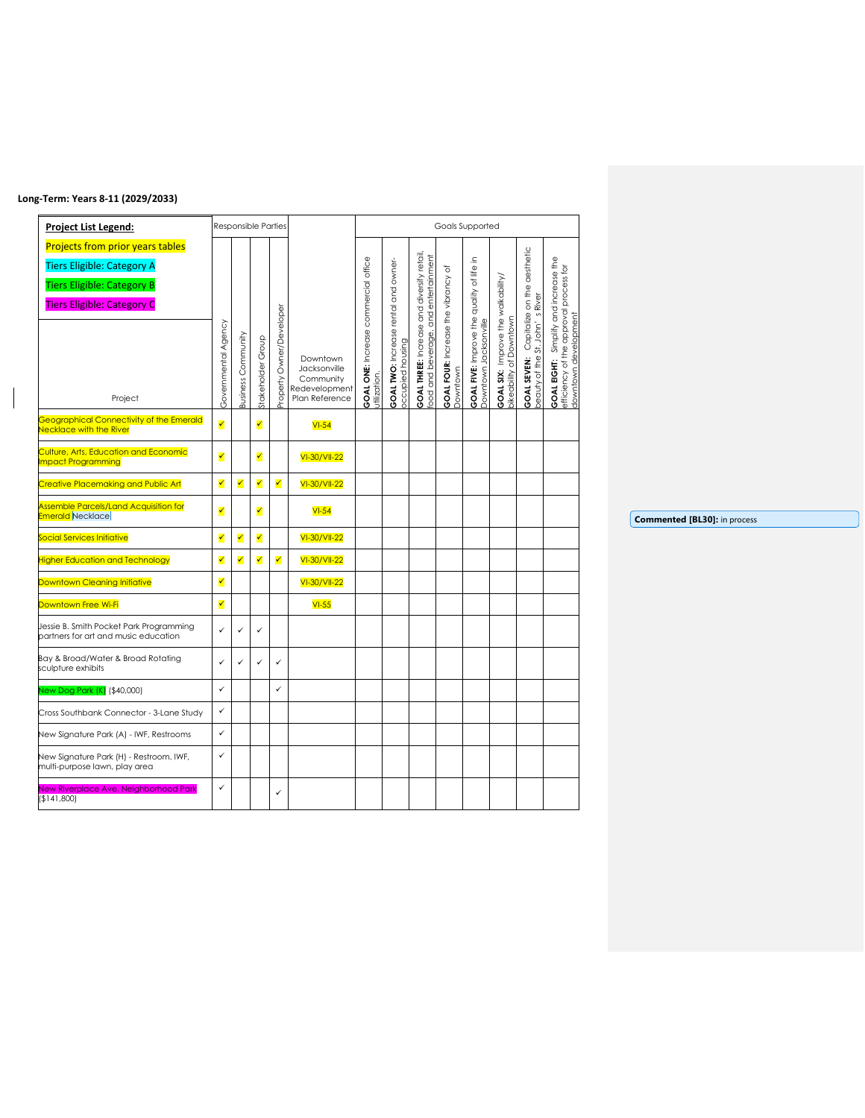## **Long-Term: Years 8-11 (2029/2033)**

| Project List Legend:                                                                                                                                              |                     | Responsible Parties |                      |                          |                                                                          |                                                             |                                                           |                                                                                              |                                                          | Goals Supported                                                        |                                                                                                  |                                                                                   |                                                                                                            |
|-------------------------------------------------------------------------------------------------------------------------------------------------------------------|---------------------|---------------------|----------------------|--------------------------|--------------------------------------------------------------------------|-------------------------------------------------------------|-----------------------------------------------------------|----------------------------------------------------------------------------------------------|----------------------------------------------------------|------------------------------------------------------------------------|--------------------------------------------------------------------------------------------------|-----------------------------------------------------------------------------------|------------------------------------------------------------------------------------------------------------|
| <b>Projects from prior years tables</b><br><b>Tiers Eligible: Category A</b><br><b>Tiers Eligible: Category B</b><br><b>Tiers Eligible: Category C</b><br>Project | Governmental Agency | Business Community  | Stakeholder Group    | Property Owner/Developer | Downtown<br>Jacksonville<br>Community<br>Redevelopment<br>Plan Reference | <b>GOAL ONE:</b> Increase commercial office<br>utilization. | GOAL TWO: Increase rental and owner-<br>procupied housing | <b>GOAL THREE:</b> Increase and diversify retail,<br>and entertainment<br>food and beverage, | đ<br><b>GOAL FOUR:</b> Increase the vibrancy<br>Downtown | ءِ.<br>GOAL FIVE: Improve the quality of life<br>Downtown Jacksonville | Improve the walkability/<br><b>GOAL SIX:</b> Improve the <sup>,</sup><br>bikeability of Downtown | Capitalize on the aesthetic<br>River<br>St. John'<br>beauty of the<br>GOAL SEVEN: | Simplify and increase the<br>efficiency of the approval process for<br>downtown development<br>GOAL EIGHT: |
| Geographical Connectivity of the Emerald<br><b>Jecklace with the River</b>                                                                                        | ✓                   |                     | $\blacktriangledown$ |                          | $VI-54$                                                                  |                                                             |                                                           |                                                                                              |                                                          |                                                                        |                                                                                                  |                                                                                   |                                                                                                            |
| Culture, Arts, Education and Economic<br>mpact Programming                                                                                                        | ✓                   |                     | ✔                    |                          | VI-30/VII-22                                                             |                                                             |                                                           |                                                                                              |                                                          |                                                                        |                                                                                                  |                                                                                   |                                                                                                            |
| <b>Creative Placemaking and Public Art</b>                                                                                                                        | ✓                   | ✓                   | ✓                    | ✔                        | VI-30/VII-22                                                             |                                                             |                                                           |                                                                                              |                                                          |                                                                        |                                                                                                  |                                                                                   |                                                                                                            |
| <b>Assemble Parcels/Land Acquisition for</b><br>Emerald Necklace                                                                                                  | ✓                   |                     | ✓                    |                          | $VI-54$                                                                  |                                                             |                                                           |                                                                                              |                                                          |                                                                        |                                                                                                  |                                                                                   |                                                                                                            |
| Social Services Initiative                                                                                                                                        | ✓                   | ✔                   | ✔                    |                          | VI-30/VII-22                                                             |                                                             |                                                           |                                                                                              |                                                          |                                                                        |                                                                                                  |                                                                                   |                                                                                                            |
| <b>Higher Education and Technology</b>                                                                                                                            | ✓                   | ✓                   | $\blacktriangledown$ | ✓                        | VI-30/VII-22                                                             |                                                             |                                                           |                                                                                              |                                                          |                                                                        |                                                                                                  |                                                                                   |                                                                                                            |
| Downtown Cleaning Initiative                                                                                                                                      | ✓                   |                     |                      |                          | VI-30/VII-22                                                             |                                                             |                                                           |                                                                                              |                                                          |                                                                        |                                                                                                  |                                                                                   |                                                                                                            |
| <mark>Downtown Free Wi-Fi</mark>                                                                                                                                  | ✓                   |                     |                      |                          | $VI-55$                                                                  |                                                             |                                                           |                                                                                              |                                                          |                                                                        |                                                                                                  |                                                                                   |                                                                                                            |
| Jessie B. Smith Pocket Park Programming<br>partners for art and music education                                                                                   | $\checkmark$        | ✓                   | ✓                    |                          |                                                                          |                                                             |                                                           |                                                                                              |                                                          |                                                                        |                                                                                                  |                                                                                   |                                                                                                            |
| Bay & Broad/Water & Broad Rotating<br>sculpture exhibits                                                                                                          | ✓                   | ✓                   | ✓                    | $\checkmark$             |                                                                          |                                                             |                                                           |                                                                                              |                                                          |                                                                        |                                                                                                  |                                                                                   |                                                                                                            |
| <b>New Dog Park (K)</b> (\$40,000)                                                                                                                                | ✓                   |                     |                      | $\checkmark$             |                                                                          |                                                             |                                                           |                                                                                              |                                                          |                                                                        |                                                                                                  |                                                                                   |                                                                                                            |
| Cross Southbank Connector - 3-Lane Study                                                                                                                          | ✓                   |                     |                      |                          |                                                                          |                                                             |                                                           |                                                                                              |                                                          |                                                                        |                                                                                                  |                                                                                   |                                                                                                            |
| New Signature Park (A) - IWF, Restrooms                                                                                                                           | ✓                   |                     |                      |                          |                                                                          |                                                             |                                                           |                                                                                              |                                                          |                                                                        |                                                                                                  |                                                                                   |                                                                                                            |
| New Signature Park (H) - Restroom, IWF,<br>multi-purpose lawn, play area                                                                                          | ✓                   |                     |                      |                          |                                                                          |                                                             |                                                           |                                                                                              |                                                          |                                                                        |                                                                                                  |                                                                                   |                                                                                                            |
| New Riverplace Ave. Neighborhood Park<br>(\$141,800)                                                                                                              | ✓                   |                     |                      | $\checkmark$             |                                                                          |                                                             |                                                           |                                                                                              |                                                          |                                                                        |                                                                                                  |                                                                                   |                                                                                                            |

**Commented [BL30]:** in process